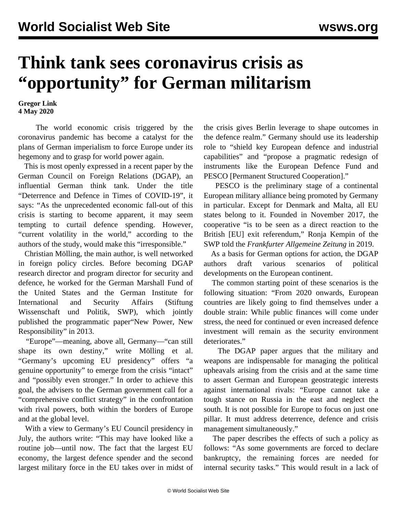## **Think tank sees coronavirus crisis as "opportunity" for German militarism**

**Gregor Link 4 May 2020**

 The world economic crisis triggered by the coronavirus pandemic has become a catalyst for the plans of German imperialism to force Europe under its hegemony and to grasp for world power again.

 This is most openly expressed in a recent [paper](https://dgap.org/sites/default/files/article_pdfs/dgap-policybrief-2020-09-en.pdf) by the German Council on Foreign Relations (DGAP), an influential German think tank. Under the title "Deterrence and Defence in Times of COVID-19", it says: "As the unprecedented economic fall-out of this crisis is starting to become apparent, it may seem tempting to curtail defence spending. However, "current volatility in the world," according to the authors of the study, would make this "irresponsible."

 Christian Mölling, the main author, is well networked in foreign policy circles. Before becoming DGAP research director and program director for security and defence, he worked for the German Marshall Fund of the United States and the German Institute for International and Security Affairs (Stiftung Wissenschaft und Politik, SWP), which jointly published the programmatic [paper](/en/articles/2014/05/10/germ-m10.html)"New Power, New Responsibility" in 2013.

 "Europe"—meaning, above all, Germany—"can still shape its own destiny," write Mölling et al. "Germany's upcoming EU presidency" offers "a genuine opportunity" to emerge from the crisis "intact" and "possibly even stronger." In order to achieve this goal, the advisers to the German government call for a "comprehensive conflict strategy" in the confrontation with rival powers, both within the borders of Europe and at the global level.

 With a view to Germany's EU Council presidency in July, the authors write: "This may have looked like a routine job—until now. The fact that the largest EU economy, the largest defence spender and the second largest military force in the EU takes over in midst of the crisis gives Berlin leverage to shape outcomes in the defence realm." Germany should use its leadership role to "shield key European defence and industrial capabilities" and "propose a pragmatic redesign of instruments like the European Defence Fund and PESCO [Permanent Structured Cooperation]."

 PESCO is the preliminary stage of a continental European military alliance being promoted by Germany in particular. Except for Denmark and Malta, all EU states belong to it. Founded in November 2017, the cooperative "is to be seen as a direct reaction to the British [EU] exit referendum," Ronja Kempin of the SWP told the *Frankfurter Allgemeine Zeitung* in 2019.

 As a basis for German options for action, the DGAP authors draft various scenarios of political developments on the European continent.

 The common starting point of these scenarios is the following situation: "From 2020 onwards, European countries are likely going to find themselves under a double strain: While public finances will come under stress, the need for continued or even increased defence investment will remain as the security environment deteriorates."

 The DGAP paper argues that the military and weapons are indispensable for managing the political upheavals arising from the crisis and at the same time to assert German and European geostrategic interests against international rivals: "Europe cannot take a tough stance on Russia in the east and neglect the south. It is not possible for Europe to focus on just one pillar. It must address deterrence, defence and crisis management simultaneously."

 The paper describes the effects of such a policy as follows: "As some governments are forced to declare bankruptcy, the remaining forces are needed for internal security tasks." This would result in a lack of